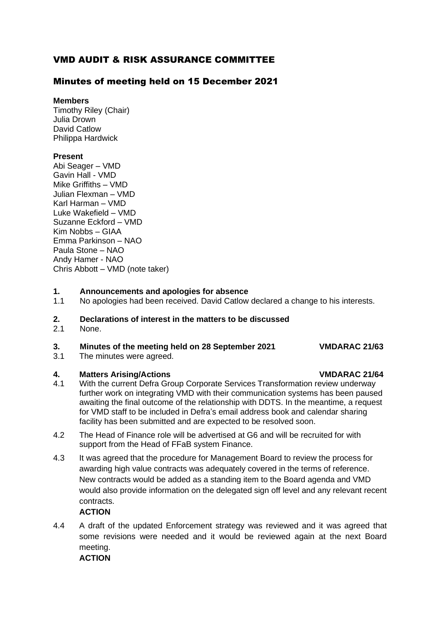## VMD AUDIT & RISK ASSURANCE COMMITTEE

### Minutes of meeting held on 15 December 2021

#### **Members**

Timothy Riley (Chair) Julia Drown David Catlow Philippa Hardwick

### **Present**

Abi Seager – VMD Gavin Hall - VMD Mike Griffiths – VMD Julian Flexman – VMD Karl Harman – VMD Luke Wakefield – VMD Suzanne Eckford – VMD Kim Nobbs – GIAA Emma Parkinson – NAO Paula Stone – NAO Andy Hamer - NAO Chris Abbott – VMD (note taker)

### **1. Announcements and apologies for absence**

1.1 No apologies had been received. David Catlow declared a change to his interests.

# **2. Declarations of interest in the matters to be discussed**

None.

### **3. Minutes of the meeting held on 28 September 2021 VMDARAC 21/63**

3.1 The minutes were agreed.

### **4. Matters Arising/Actions VMDARAC 21/64**

- 4.1 With the current Defra Group Corporate Services Transformation review underway further work on integrating VMD with their communication systems has been paused awaiting the final outcome of the relationship with DDTS. In the meantime, a request for VMD staff to be included in Defra's email address book and calendar sharing facility has been submitted and are expected to be resolved soon.
- 4.2 The Head of Finance role will be advertised at G6 and will be recruited for with support from the Head of FFaB system Finance.
- 4.3 It was agreed that the procedure for Management Board to review the process for awarding high value contracts was adequately covered in the terms of reference. New contracts would be added as a standing item to the Board agenda and VMD would also provide information on the delegated sign off level and any relevant recent contracts.

### **ACTION**

4.4 A draft of the updated Enforcement strategy was reviewed and it was agreed that some revisions were needed and it would be reviewed again at the next Board meeting.

### **ACTION**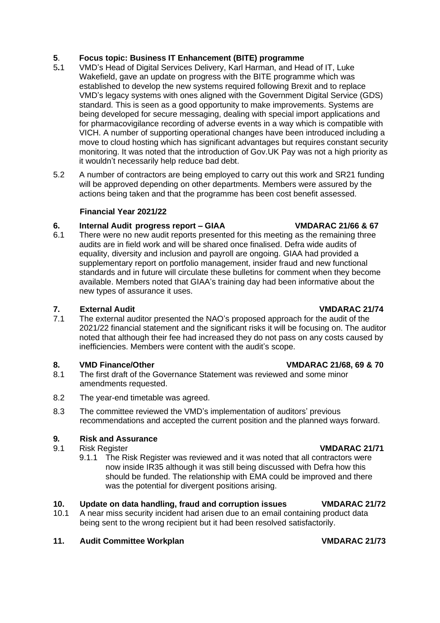# **5**. **Focus topic: Business IT Enhancement (BITE) programme**

- 5**.**1 VMD's Head of Digital Services Delivery, Karl Harman, and Head of IT, Luke Wakefield, gave an update on progress with the BITE programme which was established to develop the new systems required following Brexit and to replace VMD's legacy systems with ones aligned with the Government Digital Service (GDS) standard. This is seen as a good opportunity to make improvements. Systems are being developed for secure messaging, dealing with special import applications and for pharmacovigilance recording of adverse events in a way which is compatible with VICH. A number of supporting operational changes have been introduced including a move to cloud hosting which has significant advantages but requires constant security monitoring. It was noted that the introduction of Gov.UK Pay was not a high priority as it wouldn't necessarily help reduce bad debt.
- 5.2 A number of contractors are being employed to carry out this work and SR21 funding will be approved depending on other departments. Members were assured by the actions being taken and that the programme has been cost benefit assessed.

## **Financial Year 2021/22**

# **6. Internal Audit progress report – GIAA VMDARAC 21/66 & 67**

6.1 There were no new audit reports presented for this meeting as the remaining three audits are in field work and will be shared once finalised. Defra wide audits of equality, diversity and inclusion and payroll are ongoing. GIAA had provided a supplementary report on portfolio management, insider fraud and new functional standards and in future will circulate these bulletins for comment when they become available. Members noted that GIAA's training day had been informative about the new types of assurance it uses.

# **7. External Audit VMDARAC 21/74**

7.1 The external auditor presented the NAO's proposed approach for the audit of the 2021/22 financial statement and the significant risks it will be focusing on. The auditor noted that although their fee had increased they do not pass on any costs caused by inefficiencies. Members were content with the audit's scope.

# **8. VMD Finance/Other VMDARAC 21/68, 69 & 70**

- 8.1 The first draft of the Governance Statement was reviewed and some minor amendments requested.
- 8.2 The year-end timetable was agreed.
- 8.3 The committee reviewed the VMD's implementation of auditors' previous recommendations and accepted the current position and the planned ways forward.

# **9***.* **Risk and Assurance**

- 9.1 Risk Register **VMDARAC 21/71**
	- 9.1.1 The Risk Register was reviewed and it was noted that all contractors were now inside IR35 although it was still being discussed with Defra how this should be funded. The relationship with EMA could be improved and there was the potential for divergent positions arising.

# **10. Update on data handling, fraud and corruption issues VMDARAC 21/72**

10.1 A near miss security incident had arisen due to an email containing product data being sent to the wrong recipient but it had been resolved satisfactorily.

# 11. Audit Committee Workplan VMDARAC 21/73